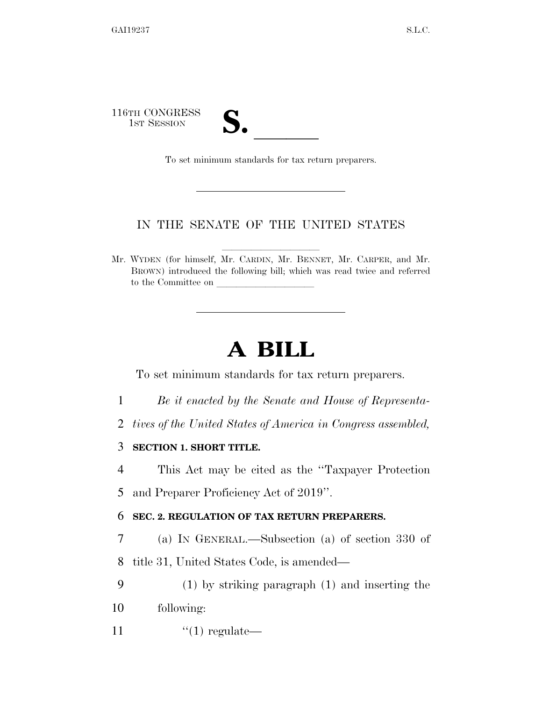116TH CONGRESS 1ST SESSION **S.** ll To set minimum standards for tax return preparers.

## IN THE SENATE OF THE UNITED STATES

Mr. WYDEN (for himself, Mr. CARDIN, Mr. BENNET, Mr. CARPER, and Mr. BROWN) introduced the following bill; which was read twice and referred to the Committee on

## **A BILL**

To set minimum standards for tax return preparers.

- 1 *Be it enacted by the Senate and House of Representa-*
- 2 *tives of the United States of America in Congress assembled,*

3 **SECTION 1. SHORT TITLE.** 

4 This Act may be cited as the ''Taxpayer Protection 5 and Preparer Proficiency Act of 2019''.

6 **SEC. 2. REGULATION OF TAX RETURN PREPARERS.** 

7 (a) IN GENERAL.—Subsection (a) of section 330 of 8 title 31, United States Code, is amended—

9 (1) by striking paragraph (1) and inserting the 10 following:

11  $(1)$  regulate—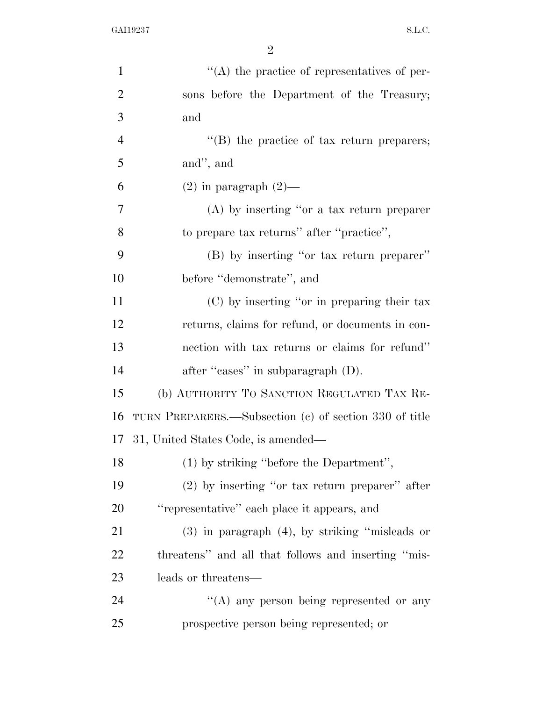| $\mathbf{1}$   | $\lq\lq$ the practice of representatives of per-       |
|----------------|--------------------------------------------------------|
| $\overline{2}$ | sons before the Department of the Treasury;            |
| 3              | and                                                    |
| $\overline{4}$ | $\lq\lq (B)$ the practice of tax return preparers;     |
| 5              | and", and                                              |
| 6              | $(2)$ in paragraph $(2)$ —                             |
| $\overline{7}$ | $(A)$ by inserting "or a tax return preparer           |
| 8              | to prepare tax returns" after "practice",              |
| 9              | (B) by inserting "or tax return preparer"              |
| 10             | before "demonstrate", and                              |
| 11             | (C) by inserting "or in preparing their tax            |
| 12             | returns, claims for refund, or documents in con-       |
| 13             | nection with tax returns or claims for refund"         |
| 14             | after "cases" in subparagraph (D).                     |
| 15             | (b) AUTHORITY TO SANCTION REGULATED TAX RE-            |
| 16             | TURN PREPARERS.—Subsection (c) of section 330 of title |
| 17             | 31, United States Code, is amended—                    |
| 18             | (1) by striking "before the Department",               |
| 19             | $(2)$ by inserting "or tax return preparer" after      |
| 20             | "representative" each place it appears, and            |
| 21             | $(3)$ in paragraph $(4)$ , by striking "misleads or    |
| 22             | threatens" and all that follows and inserting "mis-    |
| 23             | leads or threatens—                                    |
| 24             | "(A) any person being represented or any               |
| 25             | prospective person being represented; or               |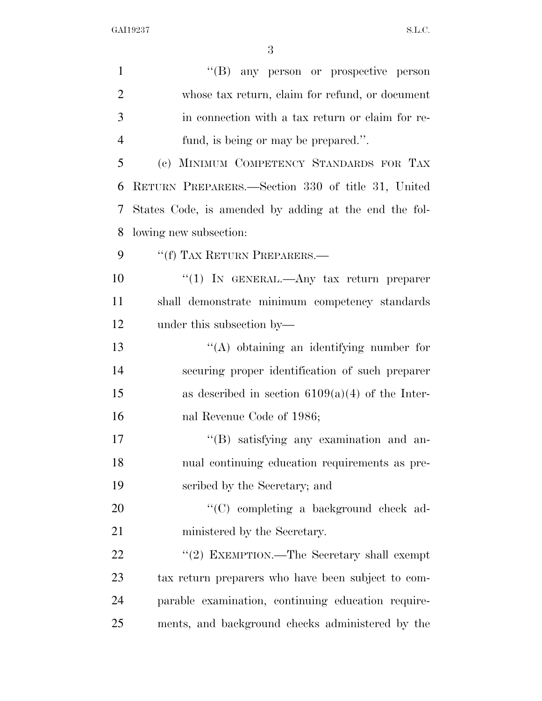| $\mathbf{1}$   | "(B) any person or prospective person                 |
|----------------|-------------------------------------------------------|
| $\overline{2}$ | whose tax return, claim for refund, or document       |
| 3              | in connection with a tax return or claim for re-      |
| $\overline{4}$ | fund, is being or may be prepared.".                  |
| 5              | (c) MINIMUM COMPETENCY STANDARDS FOR TAX              |
| 6              | RETURN PREPARERS.—Section 330 of title 31, United     |
| 7              | States Code, is amended by adding at the end the fol- |
| 8              | lowing new subsection:                                |
| 9              | "(f) TAX RETURN PREPARERS.—                           |
| 10             | "(1) IN GENERAL.—Any tax return preparer              |
| 11             | shall demonstrate minimum competency standards        |
| 12             | under this subsection by—                             |
| 13             | $\lq\lq$ obtaining an identifying number for          |
| 14             | securing proper identification of such preparer       |
| 15             | as described in section $6109(a)(4)$ of the Inter-    |
| 16             | nal Revenue Code of 1986;                             |
| 17             | "(B) satisfying any examination and an-               |
| 18             | nual continuing education requirements as pre-        |
| 19             | scribed by the Secretary; and                         |
| 20             | "(C) completing a background check ad-                |
| 21             | ministered by the Secretary.                          |
| 22             | "(2) EXEMPTION.—The Secretary shall exempt            |
| 23             | tax return preparers who have been subject to com-    |
| 24             | parable examination, continuing education require-    |
| 25             | ments, and background checks administered by the      |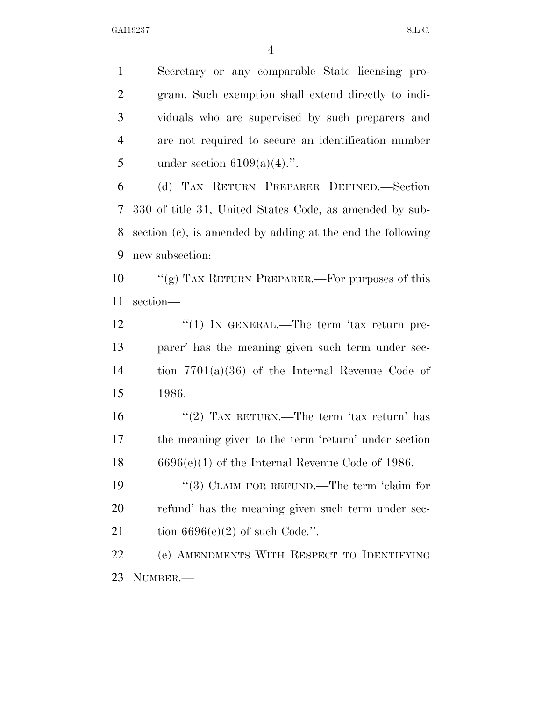Secretary or any comparable State licensing pro- gram. Such exemption shall extend directly to indi- viduals who are supervised by such preparers and are not required to secure an identification number 5 under section  $6109(a)(4)$ .".

 (d) TAX RETURN PREPARER DEFINED.—Section 330 of title 31, United States Code, as amended by sub- section (c), is amended by adding at the end the following new subsection:

 ''(g) TAX RETURN PREPARER.—For purposes of this section—

12 "(1) IN GENERAL.—The term 'tax return pre- parer' has the meaning given such term under sec- tion 7701(a)(36) of the Internal Revenue Code of 1986.

16 "(2) TAX RETURN.—The term 'tax return' has the meaning given to the term 'return' under section 6696(e)(1) of the Internal Revenue Code of 1986.

19 "(3) CLAIM FOR REFUND.—The term 'claim for refund' has the meaning given such term under sec-21 tion  $6696(e)(2)$  of such Code.".

 (e) AMENDMENTS WITH RESPECT TO IDENTIFYING NUMBER.—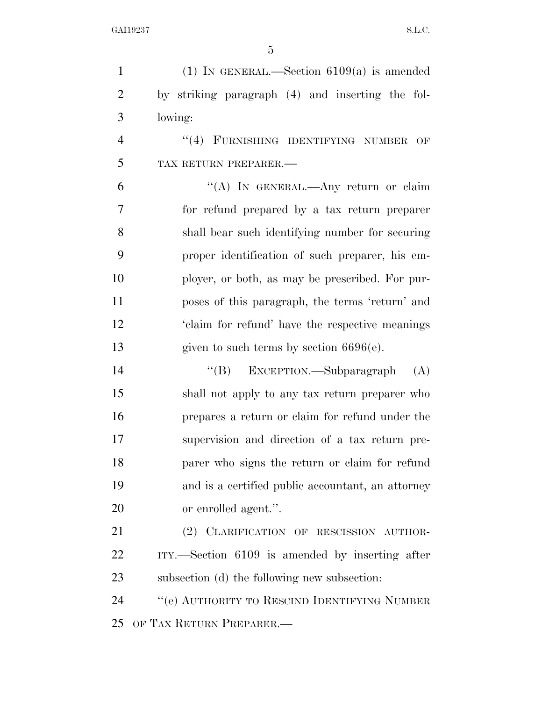| $\mathbf{1}$   | (1) IN GENERAL.—Section $6109(a)$ is amended      |
|----------------|---------------------------------------------------|
| $\overline{2}$ | by striking paragraph (4) and inserting the fol-  |
| 3              | lowing:                                           |
| $\overline{4}$ | "(4) FURNISHING IDENTIFYING NUMBER<br>OF          |
| 5              | TAX RETURN PREPARER.-                             |
| 6              | "(A) IN GENERAL.—Any return or claim              |
| 7              | for refund prepared by a tax return preparer      |
| 8              | shall bear such identifying number for securing   |
| 9              | proper identification of such preparer, his em-   |
| 10             | ployer, or both, as may be prescribed. For pur-   |
| 11             | poses of this paragraph, the terms 'return' and   |
| 12             | 'claim for refund' have the respective meanings   |
| 13             | given to such terms by section $6696(e)$ .        |
| 14             | "(B) EXCEPTION.—Subparagraph<br>(A)               |
| 15             | shall not apply to any tax return preparer who    |
| 16             | prepares a return or claim for refund under the   |
| 17             | supervision and direction of a tax return pre-    |
| 18             | parer who signs the return or claim for refund    |
| 19             | and is a certified public accountant, an attorney |
| 20             | or enrolled agent.".                              |
| 21             | (2) CLARIFICATION OF RESCISSION AUTHOR-           |
| 22             | ITY.—Section 6109 is amended by inserting after   |
| 23             | subsection (d) the following new subsection:      |
| 24             | "(e) AUTHORITY TO RESCIND IDENTIFYING NUMBER      |
| 25             | OF TAX RETURN PREPARER.—                          |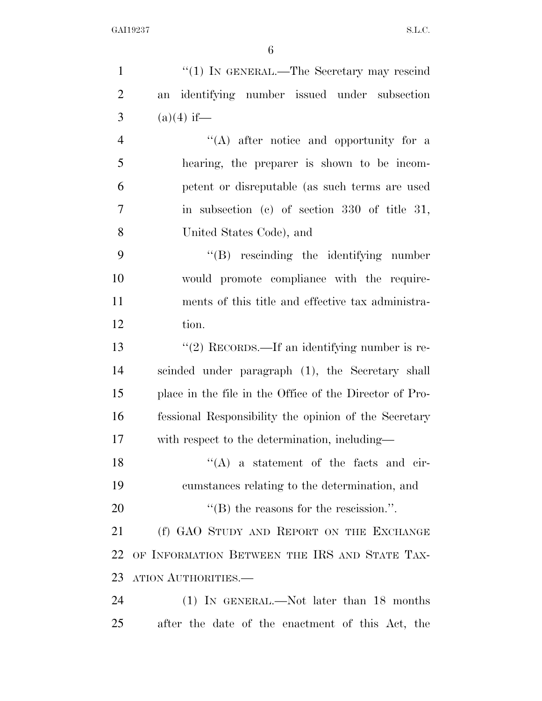| $\mathbf{1}$   | "(1) IN GENERAL.—The Secretary may rescind              |
|----------------|---------------------------------------------------------|
| $\overline{2}$ | identifying number issued under subsection<br>an        |
| 3              | $(a)(4)$ if—                                            |
| $\overline{4}$ | $\lq\lq$ after notice and opportunity for a             |
| 5              | hearing, the preparer is shown to be incom-             |
| 6              | petent or disreputable (as such terms are used          |
| $\overline{7}$ | in subsection (c) of section 330 of title 31,           |
| 8              | United States Code), and                                |
| 9              | "(B) rescinding the identifying number                  |
| 10             | would promote compliance with the require-              |
| 11             | ments of this title and effective tax administra-       |
| 12             | tion.                                                   |
| 13             | $\lq(2)$ RECORDS.—If an identifying number is re-       |
| 14             | scinded under paragraph (1), the Secretary shall        |
| 15             | place in the file in the Office of the Director of Pro- |
| 16             | fessional Responsibility the opinion of the Secretary   |
| 17             | with respect to the determination, including—           |
| 18             | $\lq\lq$ a statement of the facts and cir-              |
| 19             | cumstances relating to the determination, and           |
| 20             | $\lq$ (B) the reasons for the rescission.".             |
| 21             | (f) GAO STUDY AND REPORT ON THE EXCHANGE                |
| 22             | OF INFORMATION BETWEEN THE IRS AND STATE TAX-           |
| 23             | ATION AUTHORITIES.-                                     |
| 24             | $(1)$ IN GENERAL.—Not later than 18 months              |
| 25             | after the date of the enactment of this Act, the        |